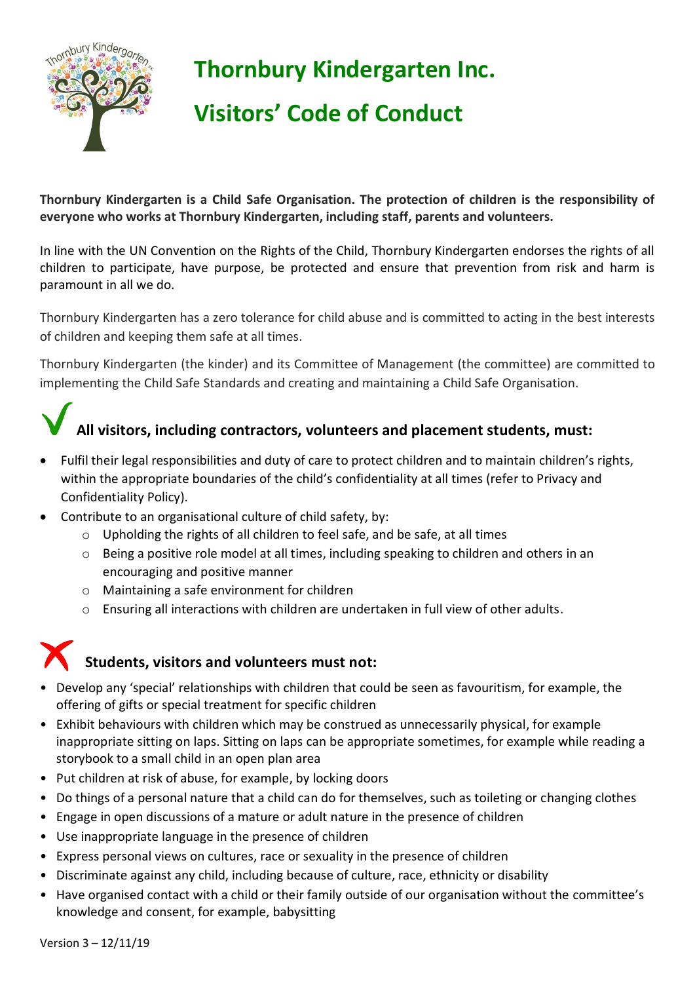

## **Thornbury Kindergarten Inc.**

# **Visitors' Code of Conduct**

**Thornbury Kindergarten is a Child Safe Organisation. The protection of children is the responsibility of everyone who works at Thornbury Kindergarten, including staff, parents and volunteers.** 

In line with the UN Convention on the Rights of the Child, Thornbury Kindergarten endorses the rights of all children to participate, have purpose, be protected and ensure that prevention from risk and harm is paramount in all we do.

Thornbury Kindergarten has a zero tolerance for child abuse and is committed to acting in the best interests of children and keeping them safe at all times.

Thornbury Kindergarten (the kinder) and its Committee of Management (the committee) are committed to implementing the Child Safe Standards and creating and maintaining a Child Safe Organisation.

# **All visitors, including contractors, volunteers and placement students, must:**

- Fulfil their legal responsibilities and duty of care to protect children and to maintain children's rights, within the appropriate boundaries of the child's confidentiality at all times (refer to Privacy and Confidentiality Policy).
- Contribute to an organisational culture of child safety, by:
	- o Upholding the rights of all children to feel safe, and be safe, at all times
	- o Being a positive role model at all times, including speaking to children and others in an encouraging and positive manner
	- o Maintaining a safe environment for children
	- $\circ$  Ensuring all interactions with children are undertaken in full view of other adults.

### **Students, visitors and volunteers must not:**

- Develop any 'special' relationships with children that could be seen as favouritism, for example, the offering of gifts or special treatment for specific children
- Exhibit behaviours with children which may be construed as unnecessarily physical, for example inappropriate sitting on laps. Sitting on laps can be appropriate sometimes, for example while reading a storybook to a small child in an open plan area
- Put children at risk of abuse, for example, by locking doors
- Do things of a personal nature that a child can do for themselves, such as toileting or changing clothes
- Engage in open discussions of a mature or adult nature in the presence of children
- Use inappropriate language in the presence of children
- Express personal views on cultures, race or sexuality in the presence of children
- Discriminate against any child, including because of culture, race, ethnicity or disability
- Have organised contact with a child or their family outside of our organisation without the committee's knowledge and consent, for example, babysitting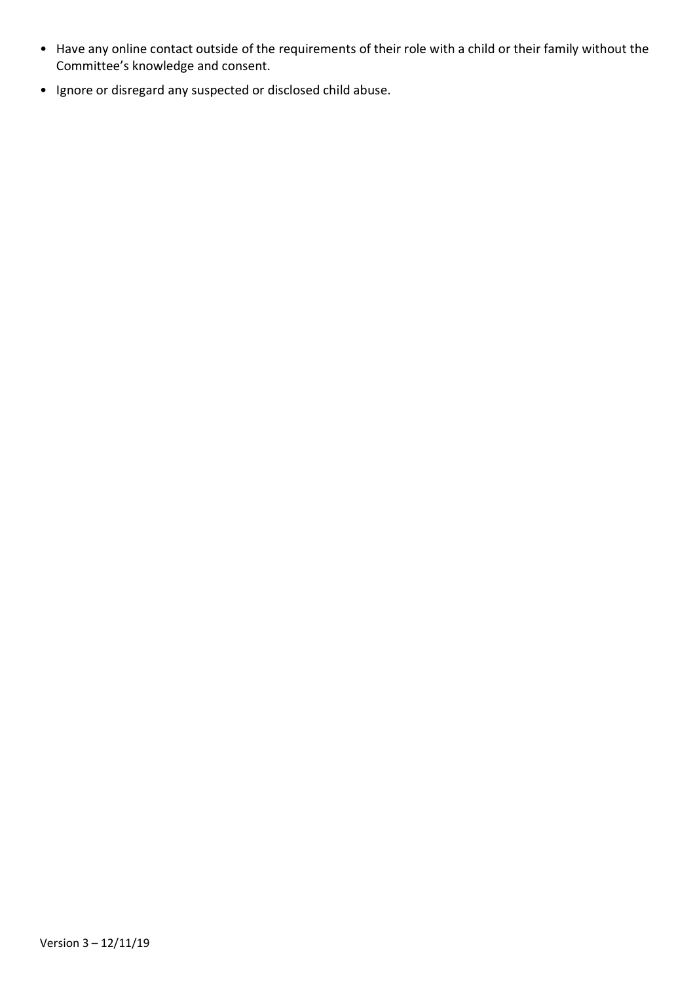- Have any online contact outside of the requirements of their role with a child or their family without the Committee's knowledge and consent.
- Ignore or disregard any suspected or disclosed child abuse.